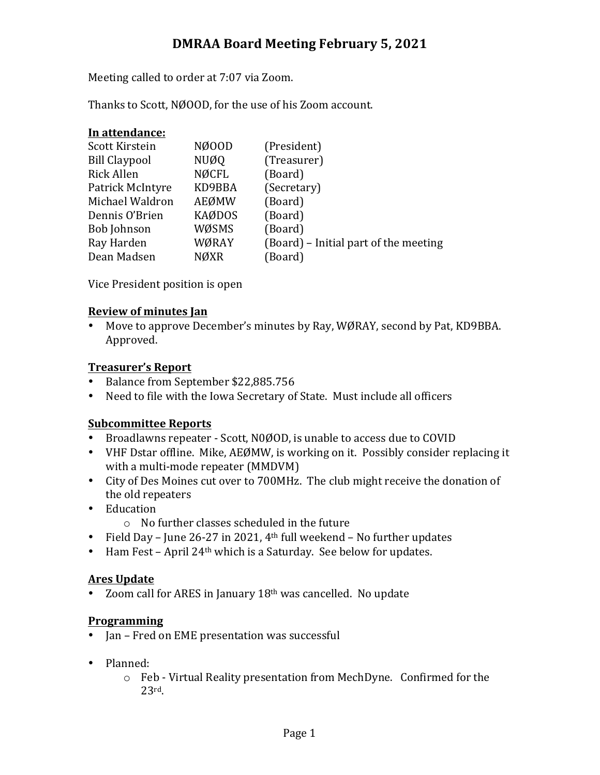# **DMRAA Board Meeting February 5, 2021**

Meeting called to order at 7:07 via Zoom.

Thanks to Scott, NØOOD, for the use of his Zoom account.

| In attendance:       |               |                                       |
|----------------------|---------------|---------------------------------------|
| Scott Kirstein       | NØ00D         | (President)                           |
| <b>Bill Claypool</b> | NUØQ          | (Treasurer)                           |
| <b>Rick Allen</b>    | NØCFL         | (Board)                               |
| Patrick McIntyre     | KD9BBA        | (Secretary)                           |
| Michael Waldron      | AEØMW         | (Board)                               |
| Dennis O'Brien       | <b>KAØDOS</b> | (Board)                               |
| <b>Bob Johnson</b>   | WØSMS         | (Board)                               |
| Ray Harden           | WØRAY         | (Board) – Initial part of the meeting |
| Dean Madsen          | <b>NØXR</b>   | (Board)                               |
|                      |               |                                       |

Vice President position is open

### **Review of minutes Jan**

• Move to approve December's minutes by Ray, WØRAY, second by Pat, KD9BBA. Approved.

## **Treasurer's Report**

- Balance from September \$22,885.756
- Need to file with the Iowa Secretary of State. Must include all officers

### **Subcommittee Reports**

- Broadlawns repeater Scott, N0ØOD, is unable to access due to COVID
- VHF Dstar offline. Mike, AEØMW, is working on it. Possibly consider replacing it with a multi-mode repeater (MMDVM)
- City of Des Moines cut over to 700MHz. The club might receive the donation of the old repeaters
- Education
	- $\circ$  No further classes scheduled in the future
- Field Day June 26-27 in 2021,  $4<sup>th</sup>$  full weekend No further updates
- Ham Fest April  $24<sup>th</sup>$  which is a Saturday. See below for updates.

## **Ares Update**

• Zoom call for ARES in January  $18<sup>th</sup>$  was cancelled. No update

## **Programming**

- Jan Fred on EME presentation was successful
- Planned:
	- $\circ$  Feb Virtual Reality presentation from MechDyne. Confirmed for the 23rd.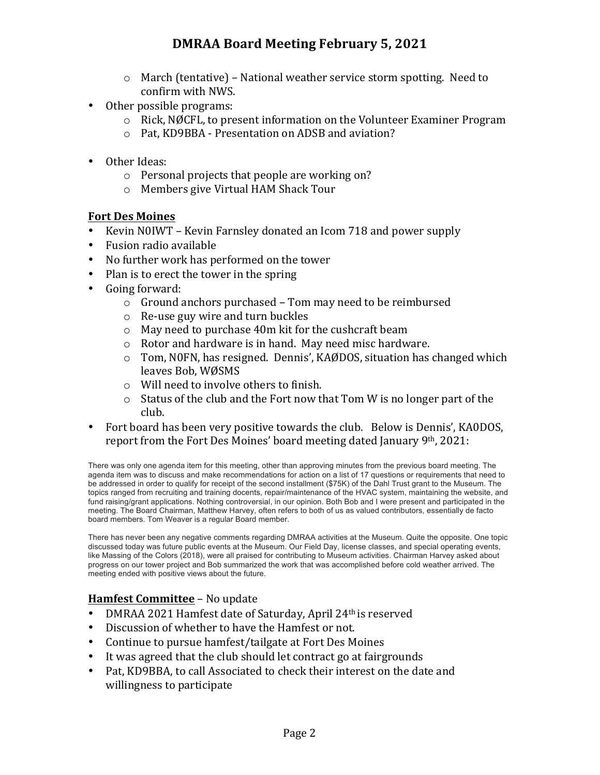# **DMRAA Board Meeting February 5, 2021**

- $\circ$  March (tentative) National weather service storm spotting. Need to confirm with NWS.
- Other possible programs:
	- $\circ$  Rick, NØCFL, to present information on the Volunteer Examiner Program
	- o Pat, KD9BBA Presentation on ADSB and aviation?
- Other Ideas:
	- $\circ$  Personal projects that people are working on?
	- o Members give Virtual HAM Shack Tour

#### **Fort Des Moines**

- Kevin N0IWT Kevin Farnsley donated an Icom 718 and power supply
- Fusion radio available
- No further work has performed on the tower
- Plan is to erect the tower in the spring
- Going forward:
	- $\circ$  Ground anchors purchased Tom may need to be reimbursed
	- $\circ$  Re-use guy wire and turn buckles
	- $\circ$  May need to purchase 40m kit for the cushcraft beam
	- $\circ$  Rotor and hardware is in hand. May need misc hardware.
	- $\circ$  Tom, N0FN, has resigned. Dennis', KAØDOS, situation has changed which leaves Bob, WØSMS
	- $\circ$  Will need to involve others to finish.
	- $\circ$  Status of the club and the Fort now that Tom W is no longer part of the club.
- Fort board has been very positive towards the club. Below is Dennis', KA0DOS, report from the Fort Des Moines' board meeting dated January  $9<sup>th</sup>$ , 2021:

There was only one agenda item for this meeting, other than approving minutes from the previous board meeting. The agenda item was to discuss and make recommendations for action on a list of 17 questions or requirements that need to be addressed in order to qualify for receipt of the second installment (\$75K) of the Dahl Trust grant to the Museum. The topics ranged from recruiting and training docents, repair/maintenance of the HVAC system, maintaining the website, and fund raising/grant applications. Nothing controversial, in our opinion. Both Bob and I were present and participated in the meeting. The Board Chairman, Matthew Harvey, often refers to both of us as valued contributors, essentially de facto board members. Tom Weaver is a regular Board member.

There has never been any negative comments regarding DMRAA activities at the Museum. Quite the opposite. One topic discussed today was future public events at the Museum. Our Field Day, license classes, and special operating events, like Massing of the Colors (2018), were all praised for contributing to Museum activities. Chairman Harvey asked about progress on our tower project and Bob summarized the work that was accomplished before cold weather arrived. The meeting ended with positive views about the future.

### **Hamfest Committee** – No update

- DMRAA 2021 Hamfest date of Saturday, April 24<sup>th</sup> is reserved
- Discussion of whether to have the Hamfest or not.
- Continue to pursue hamfest/tailgate at Fort Des Moines
- It was agreed that the club should let contract go at fairgrounds
- Pat, KD9BBA, to call Associated to check their interest on the date and willingness to participate